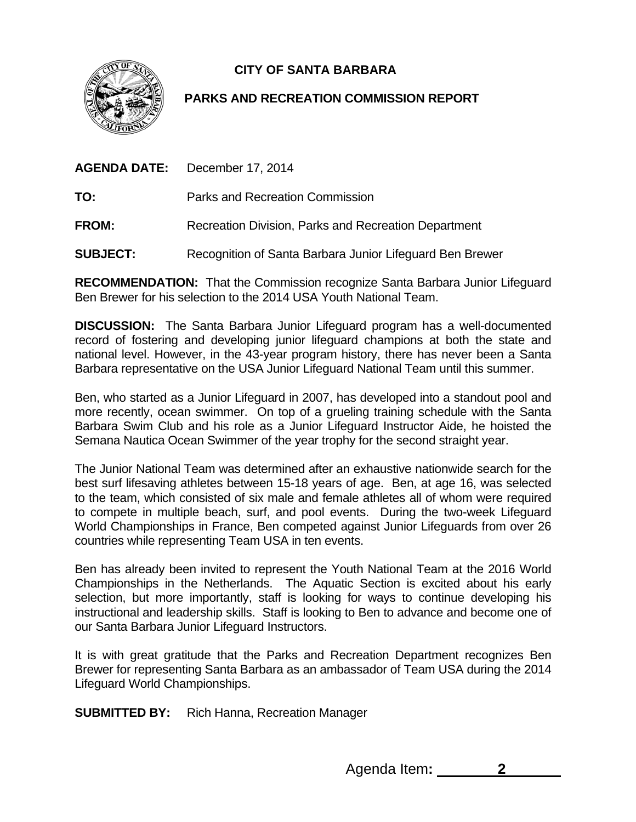**CITY OF SANTA BARBARA** 



## **PARKS AND RECREATION COMMISSION REPORT**

|              | <b>AGENDA DATE:</b> December 17, 2014                |
|--------------|------------------------------------------------------|
| TO:          | <b>Parks and Recreation Commission</b>               |
| <b>FROM:</b> | Recreation Division, Parks and Recreation Department |

**SUBJECT:** Recognition of Santa Barbara Junior Lifeguard Ben Brewer

**RECOMMENDATION:** That the Commission recognize Santa Barbara Junior Lifeguard Ben Brewer for his selection to the 2014 USA Youth National Team.

**DISCUSSION:** The Santa Barbara Junior Lifeguard program has a well-documented record of fostering and developing junior lifeguard champions at both the state and national level. However, in the 43-year program history, there has never been a Santa Barbara representative on the USA Junior Lifeguard National Team until this summer.

Ben, who started as a Junior Lifeguard in 2007, has developed into a standout pool and more recently, ocean swimmer. On top of a grueling training schedule with the Santa Barbara Swim Club and his role as a Junior Lifeguard Instructor Aide, he hoisted the Semana Nautica Ocean Swimmer of the year trophy for the second straight year.

The Junior National Team was determined after an exhaustive nationwide search for the best surf lifesaving athletes between 15-18 years of age. Ben, at age 16, was selected to the team, which consisted of six male and female athletes all of whom were required to compete in multiple beach, surf, and pool events. During the two-week Lifeguard World Championships in France, Ben competed against Junior Lifeguards from over 26 countries while representing Team USA in ten events.

Ben has already been invited to represent the Youth National Team at the 2016 World Championships in the Netherlands. The Aquatic Section is excited about his early selection, but more importantly, staff is looking for ways to continue developing his instructional and leadership skills. Staff is looking to Ben to advance and become one of our Santa Barbara Junior Lifeguard Instructors.

It is with great gratitude that the Parks and Recreation Department recognizes Ben Brewer for representing Santa Barbara as an ambassador of Team USA during the 2014 Lifeguard World Championships.

**SUBMITTED BY:** Rich Hanna, Recreation Manager

Agenda Item**: 2**